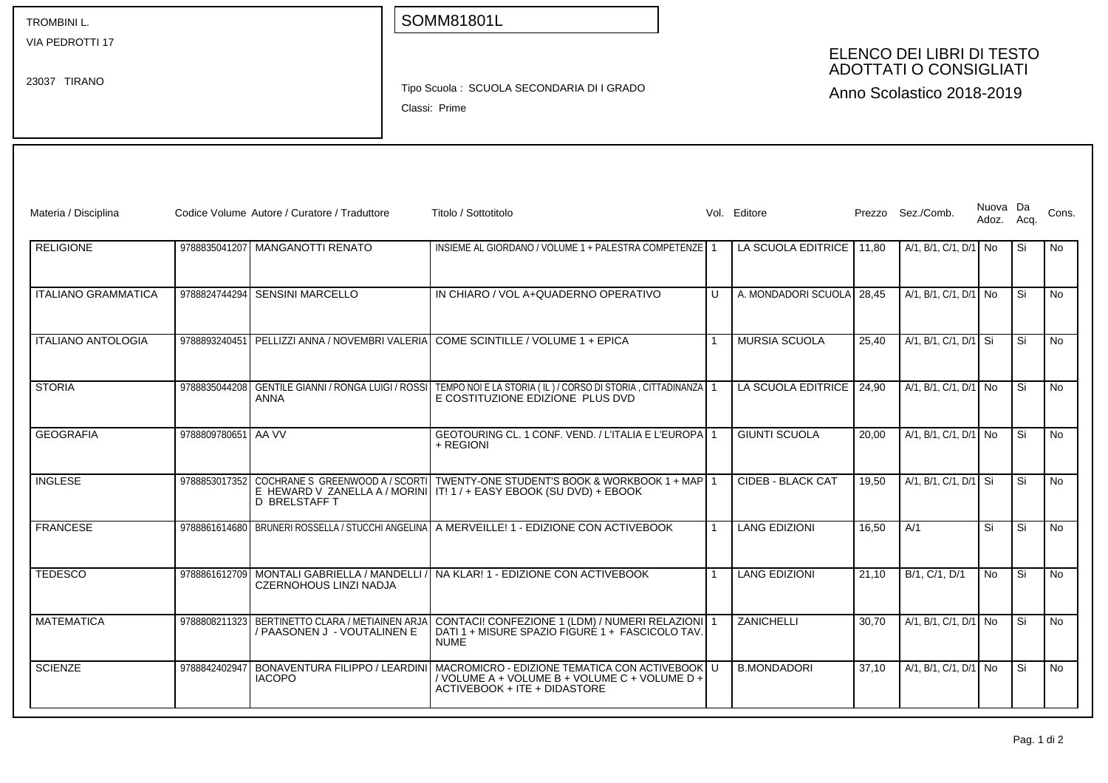| <b>TROMBINIL.</b> |  |
|-------------------|--|
|-------------------|--|

VIA PEDROTTI 17

23037 TIRANO

## SOMM81801L

## ELENCO DEI LIBRI DI TESTO ADOTTATI O CONSIGLIATI

Tipo Scuola : SCUOLA SECONDARIA DI I GRADO

Classi: Prime

Anno Scolastico 2018-2019

| Materia / Disciplina       |                     | Codice Volume Autore / Curatore / Traduttore                                | Titolo / Sottotitolo                                                                                                                                                |   | Vol. Editore         |       | Prezzo Sez./Comb.       | Nuova Da<br>Adoz. | Acq. | Cons.     |
|----------------------------|---------------------|-----------------------------------------------------------------------------|---------------------------------------------------------------------------------------------------------------------------------------------------------------------|---|----------------------|-------|-------------------------|-------------------|------|-----------|
| <b>RELIGIONE</b>           |                     | 9788835041207 MANGANOTTI RENATO                                             | INSIEME AL GIORDANO / VOLUME 1 + PALESTRA COMPETENZE 1                                                                                                              |   | LA SCUOLA EDITRICE   | 11.80 | A/1, B/1, C/1, D/1 No   |                   | Si   | <b>No</b> |
| <b>ITALIANO GRAMMATICA</b> | 9788824744294       | <b>SENSINI MARCELLO</b>                                                     | IN CHIARO / VOL A+QUADERNO OPERATIVO                                                                                                                                | U | A. MONDADORI SCUOLA  | 28.45 | A/1, B/1, C/1, D/1 No   |                   | Si   | <b>No</b> |
| <b>ITALIANO ANTOLOGIA</b>  |                     |                                                                             | 9788893240451 PELLIZZI ANNA / NOVEMBRI VALERIA COME SCINTILLE / VOLUME 1 + EPICA                                                                                    |   | <b>MURSIA SCUOLA</b> | 25.40 | A/1. B/1. C/1. D/1   Si |                   | Si   | <b>No</b> |
| <b>STORIA</b>              | 9788835044208       | ANNA                                                                        | GENTILE GIANNI / RONGA LUIGI / ROSSI   TEMPO NOI E LA STORIA (IL) / CORSO DI STORIA , CITTADINANZA   1<br>E COSTITUZIONE EDIZIONE PLUS DVD                          |   | LA SCUOLA EDITRICE   | 24.90 | A/1, B/1, C/1, D/1 No   |                   | Si   | <b>No</b> |
| <b>GEOGRAFIA</b>           | 9788809780651 AA VV |                                                                             | GEOTOURING CL. 1 CONF. VEND. / L'ITALIA E L'EUROPA 1<br>$+$ REGIONI                                                                                                 |   | <b>GIUNTI SCUOLA</b> | 20.00 | A/1, B/1, C/1, D/1 No   |                   | Si   | <b>No</b> |
| <b>INGLESE</b>             |                     | D BRELSTAFF T                                                               | 9788853017352 COCHRANE S GREENWOOD A / SCORTI TWENTY-ONE STUDENT'S BOOK & WORKBOOK 1 + MAP 1<br>E HEWARD V ZANELLA A / MORINI IT! 1 / + EASY EBOOK (SU DVD) + EBOOK |   | CIDEB - BLACK CAT    | 19.50 | A/1. B/1. C/1. D/1 Si   |                   | Si   | <b>No</b> |
| <b>FRANCESE</b>            |                     |                                                                             | 9788861614680 BRUNERI ROSSELLA / STUCCHI ANGELINA A MERVEILLE! 1 - EDIZIONE CON ACTIVEBOOK                                                                          |   | <b>LANG EDIZIONI</b> | 16.50 | A/1                     | Si                | Si   | <b>No</b> |
| <b>TEDESCO</b>             |                     | 9788861612709 MONTALI GABRIELLA / MANDELLI<br><b>CZERNOHOUS LINZI NADJA</b> | I NA KLAR! 1 - EDIZIONE CON ACTIVEBOOK                                                                                                                              |   | <b>LANG EDIZIONI</b> | 21.10 | B/1, C/1, D/1           | No.               | Si   | <b>No</b> |
| <b>MATEMATICA</b>          | 9788808211323       | BERTINETTO CLARA / METIAINEN ARJA<br>/ PAASONEN J - VOUTALINEN E            | CONTACI! CONFEZIONE 1 (LDM) / NUMERI RELAZIONI 1<br>DATI 1 + MISURE SPAZIO FIGURÉ 1 + FASCICOLO TAV<br><b>NUME</b>                                                  |   | ZANICHELLI           | 30,70 | A/1, B/1, C/1, D/1 No   |                   | Si   | <b>No</b> |
| <b>SCIENZE</b>             | 9788842402947       | <b>IACOPO</b>                                                               | BONAVENTURA FILIPPO / LEARDINI   MACROMICRO - EDIZIONE TEMATICA CON ACTIVEBOOK<br>/ VOLUME A + VOLUME B + VOLUME C + VOLUME D +<br>ACTIVEBOOK + ITE + DIDASTORE     |   | <b>B.MONDADORI</b>   | 37.10 | A/1, B/1, C/1, D/1 No   |                   | Si   | <b>No</b> |